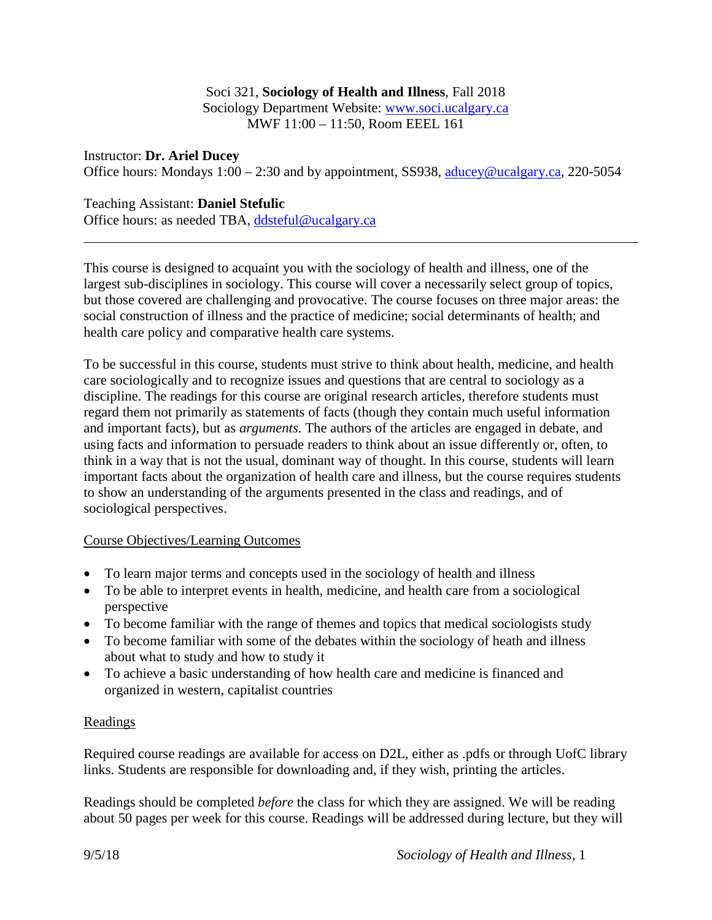### Soci 321, **Sociology of Health and Illness**, Fall 2018 Sociology Department Website: [www.soci.ucalgary.ca](http://www.soci.ucalgary.ca/) MWF 11:00 – 11:50, Room EEEL 161

Instructor: **Dr. Ariel Ducey** Office hours: Mondays  $1:00 - 2:30$  and by appointment, SS938, [aducey@ucalgary.ca,](mailto:aducey@ucalgary.ca) 220-5054

# Teaching Assistant: **Daniel Stefulic**

Office hours: as needed TBA, [ddsteful@ucalgary.ca](mailto:ddsteful@ucalgary.ca)

This course is designed to acquaint you with the sociology of health and illness, one of the largest sub-disciplines in sociology. This course will cover a necessarily select group of topics, but those covered are challenging and provocative. The course focuses on three major areas: the social construction of illness and the practice of medicine; social determinants of health; and health care policy and comparative health care systems.

To be successful in this course, students must strive to think about health, medicine, and health care sociologically and to recognize issues and questions that are central to sociology as a discipline. The readings for this course are original research articles, therefore students must regard them not primarily as statements of facts (though they contain much useful information and important facts), but as *arguments*. The authors of the articles are engaged in debate, and using facts and information to persuade readers to think about an issue differently or, often, to think in a way that is not the usual, dominant way of thought. In this course, students will learn important facts about the organization of health care and illness, but the course requires students to show an understanding of the arguments presented in the class and readings, and of sociological perspectives.

## Course Objectives/Learning Outcomes

- To learn major terms and concepts used in the sociology of health and illness
- To be able to interpret events in health, medicine, and health care from a sociological perspective
- To become familiar with the range of themes and topics that medical sociologists study
- To become familiar with some of the debates within the sociology of heath and illness about what to study and how to study it
- To achieve a basic understanding of how health care and medicine is financed and organized in western, capitalist countries

## **Readings**

Required course readings are available for access on D2L, either as .pdfs or through UofC library links. Students are responsible for downloading and, if they wish, printing the articles.

Readings should be completed *before* the class for which they are assigned. We will be reading about 50 pages per week for this course. Readings will be addressed during lecture, but they will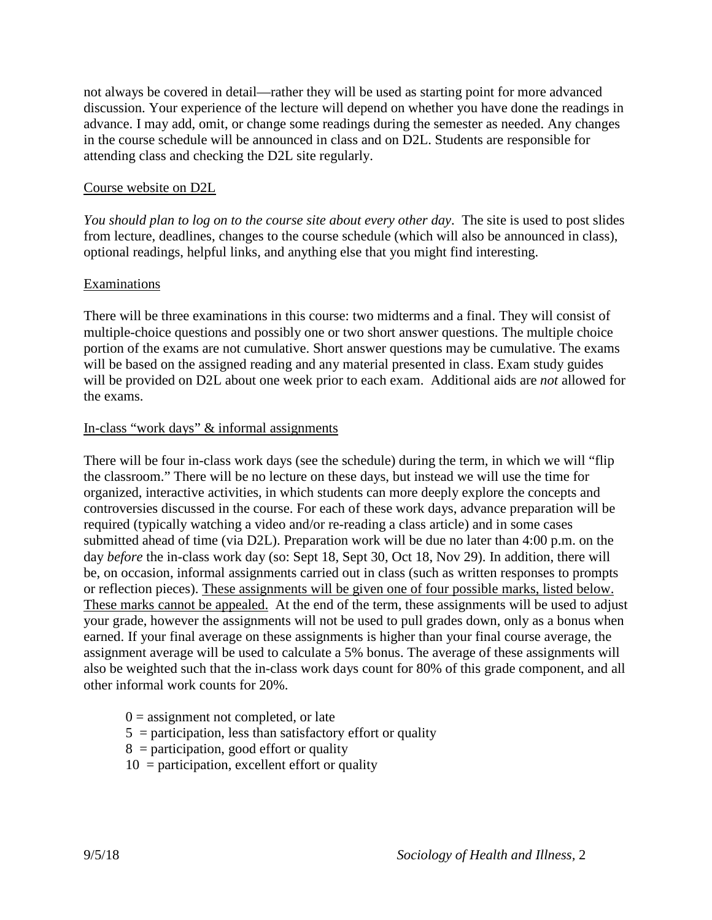not always be covered in detail—rather they will be used as starting point for more advanced discussion. Your experience of the lecture will depend on whether you have done the readings in advance. I may add, omit, or change some readings during the semester as needed. Any changes in the course schedule will be announced in class and on D2L. Students are responsible for attending class and checking the D2L site regularly.

### Course website on D2L

*You should plan to log on to the course site about every other day*. The site is used to post slides from lecture, deadlines, changes to the course schedule (which will also be announced in class), optional readings, helpful links, and anything else that you might find interesting.

#### Examinations

There will be three examinations in this course: two midterms and a final. They will consist of multiple-choice questions and possibly one or two short answer questions. The multiple choice portion of the exams are not cumulative. Short answer questions may be cumulative. The exams will be based on the assigned reading and any material presented in class. Exam study guides will be provided on D2L about one week prior to each exam. Additional aids are *not* allowed for the exams.

#### In-class "work days" & informal assignments

There will be four in-class work days (see the schedule) during the term, in which we will "flip the classroom." There will be no lecture on these days, but instead we will use the time for organized, interactive activities, in which students can more deeply explore the concepts and controversies discussed in the course. For each of these work days, advance preparation will be required (typically watching a video and/or re-reading a class article) and in some cases submitted ahead of time (via D2L). Preparation work will be due no later than 4:00 p.m. on the day *before* the in-class work day (so: Sept 18, Sept 30, Oct 18, Nov 29). In addition, there will be, on occasion, informal assignments carried out in class (such as written responses to prompts or reflection pieces). These assignments will be given one of four possible marks, listed below. These marks cannot be appealed. At the end of the term, these assignments will be used to adjust your grade, however the assignments will not be used to pull grades down, only as a bonus when earned. If your final average on these assignments is higher than your final course average, the assignment average will be used to calculate a 5% bonus. The average of these assignments will also be weighted such that the in-class work days count for 80% of this grade component, and all other informal work counts for 20%.

- $0 =$  assignment not completed, or late
- $5$  = participation, less than satisfactory effort or quality
- $8 =$  participation, good effort or quality
- $10 =$  participation, excellent effort or quality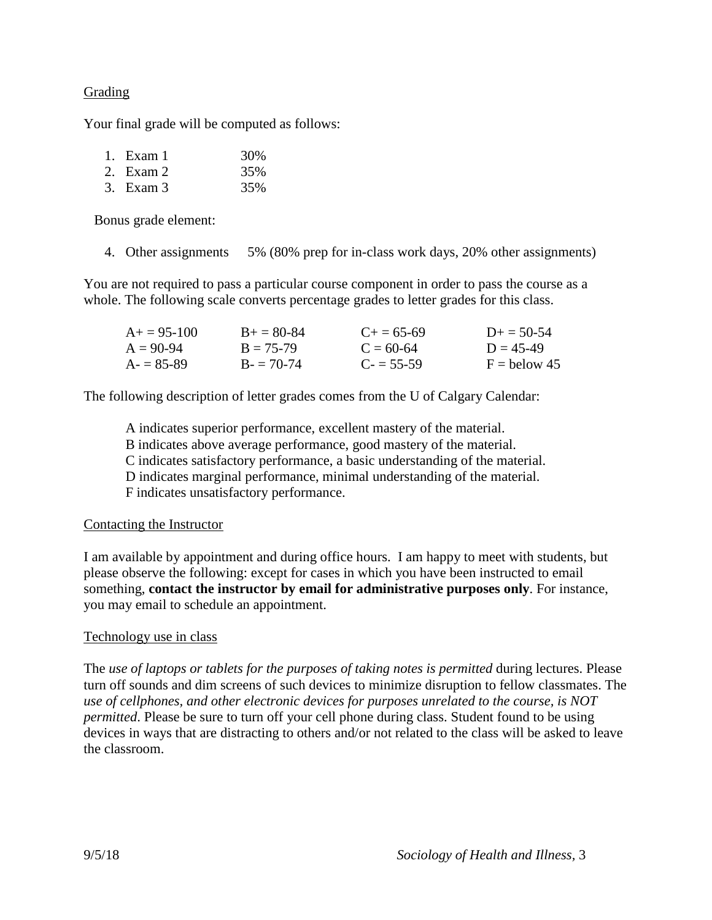### Grading

Your final grade will be computed as follows:

| 1. Exam 1 | 30% |
|-----------|-----|
| 2. Exam 2 | 35% |
| 3. Exam 3 | 35% |

Bonus grade element:

4. Other assignments 5% (80% prep for in-class work days, 20% other assignments)

You are not required to pass a particular course component in order to pass the course as a whole. The following scale converts percentage grades to letter grades for this class.

| $A+=95-100$ | $B_{+} = 80 - 84$ | $C_{\pm} = 65 - 69$ | $D_{\pm} = 50 - 54$ |
|-------------|-------------------|---------------------|---------------------|
| $A = 90-94$ | $B = 75-79$       | $C = 60-64$         | $D = 45-49$         |
| $A = 85-89$ | $B = 70-74$       | $C = 55-59$         | $F =$ below 45      |

The following description of letter grades comes from the U of Calgary Calendar:

A indicates superior performance, excellent mastery of the material.

B indicates above average performance, good mastery of the material.

C indicates satisfactory performance, a basic understanding of the material.

D indicates marginal performance, minimal understanding of the material.

F indicates unsatisfactory performance.

### Contacting the Instructor

I am available by appointment and during office hours. I am happy to meet with students, but please observe the following: except for cases in which you have been instructed to email something, **contact the instructor by email for administrative purposes only**. For instance, you may email to schedule an appointment.

### Technology use in class

The *use of laptops or tablets for the purposes of taking notes is permitted* during lectures. Please turn off sounds and dim screens of such devices to minimize disruption to fellow classmates. The *use of cellphones, and other electronic devices for purposes unrelated to the course, is NOT permitted*. Please be sure to turn off your cell phone during class. Student found to be using devices in ways that are distracting to others and/or not related to the class will be asked to leave the classroom.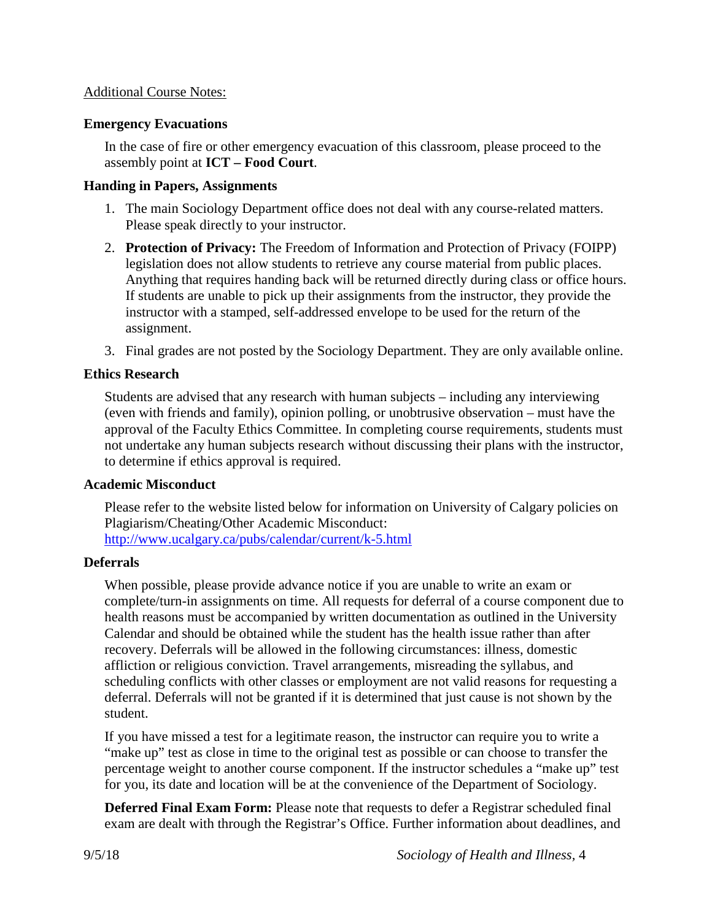### Additional Course Notes:

### **Emergency Evacuations**

In the case of fire or other emergency evacuation of this classroom, please proceed to the assembly point at **ICT – Food Court**.

### **Handing in Papers, Assignments**

- 1. The main Sociology Department office does not deal with any course-related matters. Please speak directly to your instructor.
- 2. **Protection of Privacy:** The Freedom of Information and Protection of Privacy (FOIPP) legislation does not allow students to retrieve any course material from public places. Anything that requires handing back will be returned directly during class or office hours. If students are unable to pick up their assignments from the instructor, they provide the instructor with a stamped, self-addressed envelope to be used for the return of the assignment.
- 3. Final grades are not posted by the Sociology Department. They are only available online.

### **Ethics Research**

Students are advised that any research with human subjects – including any interviewing (even with friends and family), opinion polling, or unobtrusive observation – must have the approval of the Faculty Ethics Committee. In completing course requirements, students must not undertake any human subjects research without discussing their plans with the instructor, to determine if ethics approval is required.

### **Academic Misconduct**

Please refer to the website listed below for information on University of Calgary policies on Plagiarism/Cheating/Other Academic Misconduct: <http://www.ucalgary.ca/pubs/calendar/current/k-5.html>

### **Deferrals**

When possible, please provide advance notice if you are unable to write an exam or complete/turn-in assignments on time. All requests for deferral of a course component due to health reasons must be accompanied by written documentation as outlined in the University Calendar and should be obtained while the student has the health issue rather than after recovery. Deferrals will be allowed in the following circumstances: illness, domestic affliction or religious conviction. Travel arrangements, misreading the syllabus, and scheduling conflicts with other classes or employment are not valid reasons for requesting a deferral. Deferrals will not be granted if it is determined that just cause is not shown by the student.

If you have missed a test for a legitimate reason, the instructor can require you to write a "make up" test as close in time to the original test as possible or can choose to transfer the percentage weight to another course component. If the instructor schedules a "make up" test for you, its date and location will be at the convenience of the Department of Sociology.

**Deferred Final Exam Form:** Please note that requests to defer a Registrar scheduled final exam are dealt with through the Registrar's Office. Further information about deadlines, and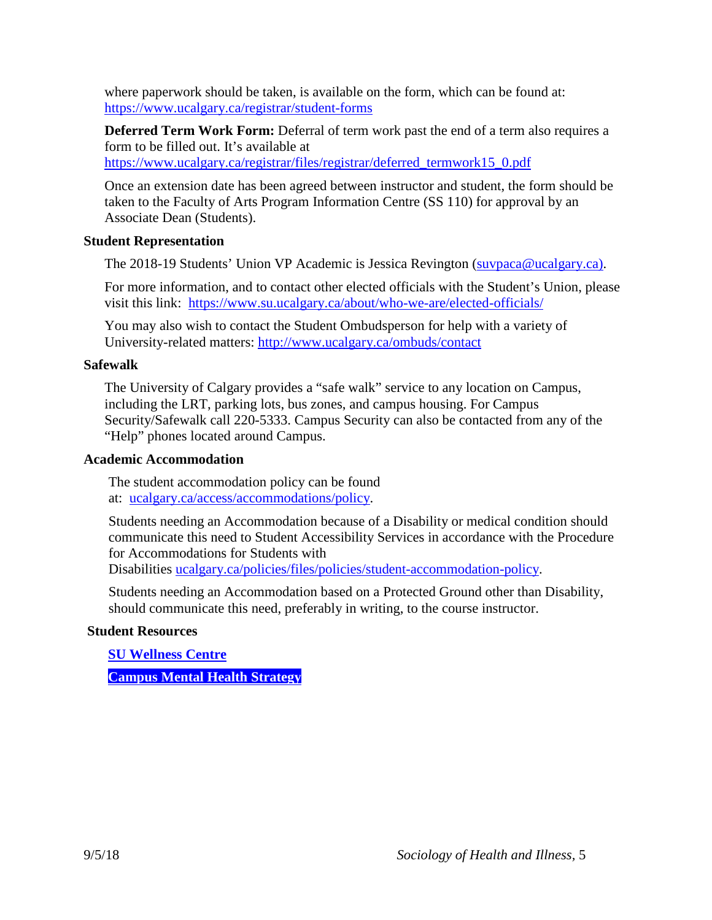where paperwork should be taken, is available on the form, which can be found at: <https://www.ucalgary.ca/registrar/student-forms>

**Deferred Term Work Form:** Deferral of term work past the end of a term also requires a form to be filled out. It's available at https://www.ucalgary.ca/registrar/files/registrar/deferred\_termwork15\_0.pdf

Once an extension date has been agreed between instructor and student, the form should be taken to the Faculty of Arts Program Information Centre (SS 110) for approval by an Associate Dean (Students).

### **Student Representation**

The 2018-19 Students' Union VP Academic is Jessica Revington [\(suvpaca@ucalgary.ca\)](mailto:suvpaca@ucalgary.ca).

For more information, and to contact other elected officials with the Student's Union, please visit this link: <https://www.su.ucalgary.ca/about/who-we-are/elected-officials/>

You may also wish to contact the Student Ombudsperson for help with a variety of University-related matters:<http://www.ucalgary.ca/ombuds/contact>

### **Safewalk**

The University of Calgary provides a "safe walk" service to any location on Campus, including the LRT, parking lots, bus zones, and campus housing. For Campus Security/Safewalk call 220-5333. Campus Security can also be contacted from any of the "Help" phones located around Campus.

#### **Academic Accommodation**

The student accommodation policy can be found at: [ucalgary.ca/access/accommodations/policy.](http://www.ucalgary.ca/access/accommodations/policy)

Students needing an Accommodation because of a Disability or medical condition should communicate this need to Student Accessibility Services in accordance with the Procedure for Accommodations for Students with

Disabilities [ucalgary.ca/policies/files/policies/student-accommodation-policy.](http://www.ucalgary.ca/policies/files/policies/student-accommodation-policy.pdf)

Students needing an Accommodation based on a Protected Ground other than Disability, should communicate this need, preferably in writing, to the course instructor.

### **Student Resources**

**[SU Wellness Centre](http://www.ucalgary.ca/wellnesscentre/)**

**[Campus Mental](https://www.ucalgary.ca/mentalhealth/) Health Strategy**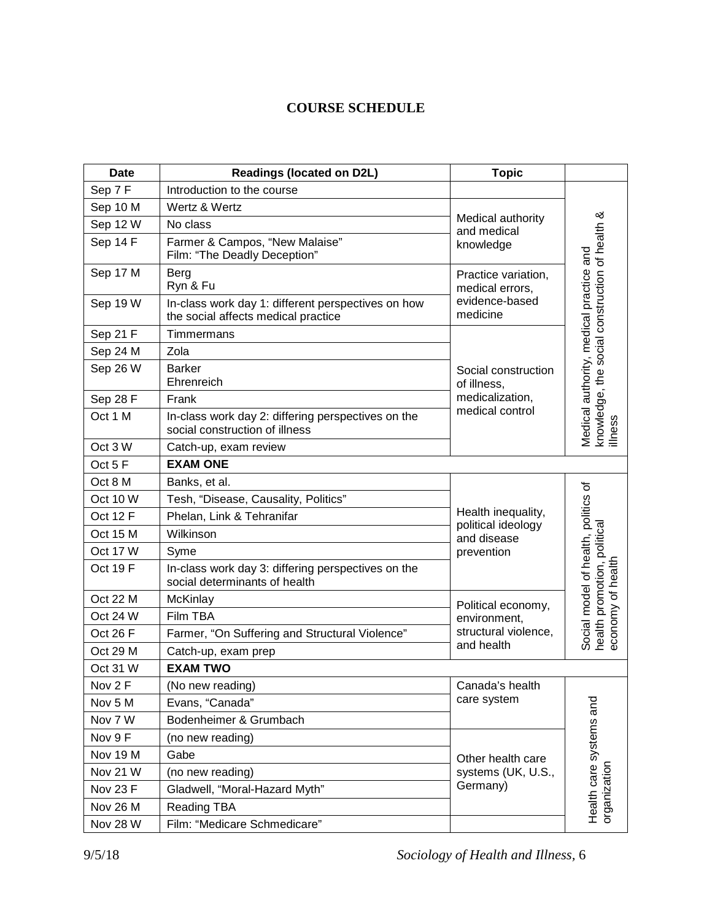# **COURSE SCHEDULE**

| <b>Date</b>     | <b>Readings (located on D2L)</b>                                                          | <b>Topic</b>                           |                                                                                                      |
|-----------------|-------------------------------------------------------------------------------------------|----------------------------------------|------------------------------------------------------------------------------------------------------|
| Sep 7F          | Introduction to the course                                                                |                                        |                                                                                                      |
| Sep 10 M        | Wertz & Wertz                                                                             |                                        | knowledge, the social construction of health &<br>Medical authority, medical practice and<br>illness |
| Sep 12 W        | No class                                                                                  | Medical authority<br>and medical       |                                                                                                      |
| Sep 14 F        | Farmer & Campos, "New Malaise"<br>Film: "The Deadly Deception"                            | knowledge                              |                                                                                                      |
| Sep 17 M        | Berg<br>Ryn & Fu                                                                          | Practice variation,<br>medical errors, |                                                                                                      |
| Sep 19 W        | In-class work day 1: different perspectives on how<br>the social affects medical practice | evidence-based<br>medicine             |                                                                                                      |
| Sep 21 F        | Timmermans                                                                                |                                        |                                                                                                      |
| Sep 24 M        | Zola                                                                                      |                                        |                                                                                                      |
| Sep 26 W        | <b>Barker</b><br>Ehrenreich                                                               | Social construction<br>of illness,     |                                                                                                      |
| Sep 28 F        | Frank                                                                                     | medicalization,                        |                                                                                                      |
| Oct 1 M         | In-class work day 2: differing perspectives on the<br>social construction of illness      | medical control                        |                                                                                                      |
| Oct 3 W         | Catch-up, exam review                                                                     |                                        |                                                                                                      |
| Oct 5 F         | <b>EXAM ONE</b>                                                                           |                                        |                                                                                                      |
| Oct 8 M         | Banks, et al.                                                                             |                                        | Social model of health, politics of                                                                  |
| Oct 10 W        | Tesh, "Disease, Causality, Politics"                                                      |                                        |                                                                                                      |
| <b>Oct 12 F</b> | Phelan, Link & Tehranifar                                                                 | Health inequality,                     |                                                                                                      |
| Oct 15 M        | Wilkinson                                                                                 | political ideology<br>and disease      |                                                                                                      |
| Oct 17 W        | Syme                                                                                      | prevention                             |                                                                                                      |
| Oct 19F         | In-class work day 3: differing perspectives on the<br>social determinants of health       |                                        |                                                                                                      |
| Oct 22 M        | McKinlay                                                                                  | Political economy,                     |                                                                                                      |
| Oct 24 W        | Film TBA                                                                                  | environment,                           | health promotion, political<br>economy of health                                                     |
| Oct 26 F        | Farmer, "On Suffering and Structural Violence"                                            | structural violence,                   |                                                                                                      |
| Oct 29 M        | Catch-up, exam prep                                                                       | and health                             |                                                                                                      |
| Oct 31 W        | <b>EXAM TWO</b>                                                                           |                                        |                                                                                                      |
| Nov 2 F         | (No new reading)                                                                          | Canada's health                        |                                                                                                      |
| Nov 5 M         | Evans, "Canada"                                                                           | care system                            |                                                                                                      |
| Nov 7 W         | Bodenheimer & Grumbach                                                                    |                                        | Health care systems and                                                                              |
| Nov 9 F         | (no new reading)                                                                          |                                        |                                                                                                      |
| Nov 19 M        | Gabe                                                                                      | Other health care                      |                                                                                                      |
| Nov 21 W        | (no new reading)                                                                          | systems (UK, U.S.,                     |                                                                                                      |
| Nov 23 F        | Gladwell, "Moral-Hazard Myth"                                                             | Germany)                               |                                                                                                      |
| Nov 26 M        | <b>Reading TBA</b>                                                                        |                                        | organization                                                                                         |
| <b>Nov 28 W</b> | Film: "Medicare Schmedicare"                                                              |                                        |                                                                                                      |